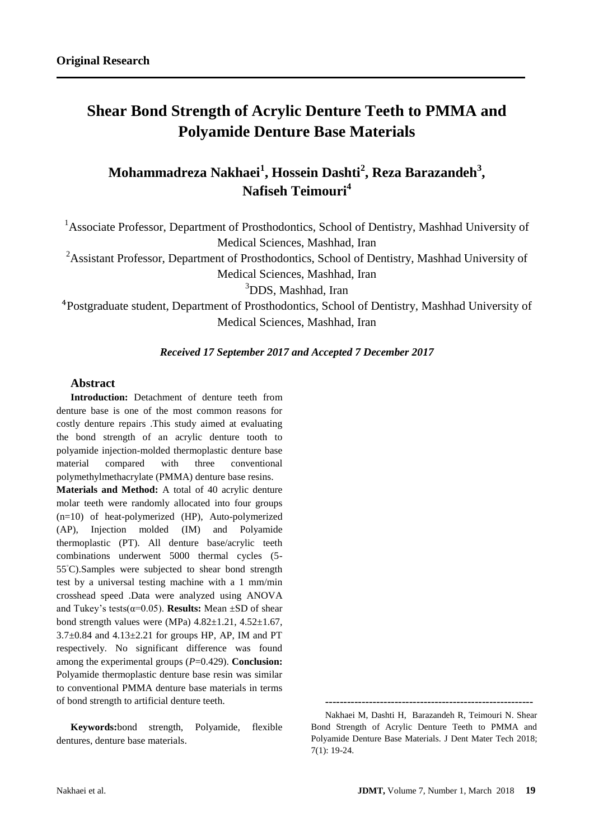# **Shear Bond Strength of Acrylic Denture Teeth to PMMA and Polyamide Denture Base Materials**

## **Mohammadreza Nakhaei<sup>1</sup> , Hossein Dashti<sup>2</sup> , Reza Barazandeh<sup>3</sup> , Nafiseh Teimouri<sup>4</sup>**

<sup>1</sup>Associate Professor, Department of Prosthodontics, School of Dentistry, Mashhad University of Medical Sciences, Mashhad, Iran

<sup>2</sup>Assistant Professor, Department of Prosthodontics, School of Dentistry, Mashhad University of

Medical Sciences, Mashhad, Iran

<sup>3</sup>DDS, Mashhad, Iran

<sup>4</sup>Postgraduate student, Department of Prosthodontics, School of Dentistry, Mashhad University of Medical Sciences, Mashhad, Iran

## *Received 17 September 2017 and Accepted 7 December 2017*

## **Abstract**

**Introduction:** Detachment of denture teeth from denture base is one of the most common reasons for costly denture repairs .This study aimed at evaluating the bond strength of an acrylic denture tooth to polyamide injection-molded thermoplastic denture base material compared with three conventional polymethylmethacrylate (PMMA) denture base resins. **Materials and Method:** A total of 40 acrylic denture molar teeth were randomly allocated into four groups (n=10) of heat-polymerized (HP), Auto-polymerized (AP), Injection molded (IM) and Polyamide thermoplastic (PT). All denture base/acrylic teeth combinations underwent 5000 thermal cycles (5- 55◦C).Samples were subjected to shear bond strength test by a universal testing machine with a 1 mm/min crosshead speed .Data were analyzed using ANOVA and Tukey's tests( $\alpha$ =0.05). **Results:** Mean  $\pm$ SD of shear bond strength values were (MPa)  $4.82 \pm 1.21$ ,  $4.52 \pm 1.67$ ,  $3.7\pm0.84$  and  $4.13\pm2.21$  for groups HP, AP, IM and PT respectively. No significant difference was found among the experimental groups (*P*=0.429). **Conclusion:**  Polyamide thermoplastic denture base resin was similar to conventional PMMA denture base materials in terms of bond strength to artificial denture teeth.

**Keywords:**bond strength, Polyamide, flexible dentures, denture base materials.

**<sup>---------------------------------------------------------</sup>**

Nakhaei M, Dashti H, Barazandeh R, Teimouri N. Shear Bond Strength of Acrylic Denture Teeth to PMMA and Polyamide Denture Base Materials. J Dent Mater Tech 2018; 7(1): 19-24.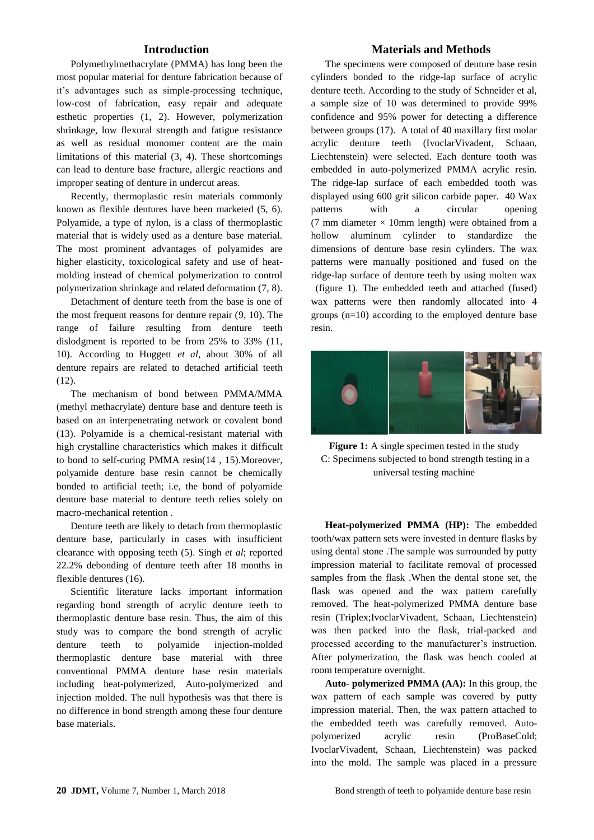## **Introduction**

Polymethylmethacrylate (PMMA) has long been the most popular material for denture fabrication because of it's advantages such as simple-processing technique, low-cost of fabrication, easy repair and adequate esthetic properties (1, 2). However, polymerization shrinkage, low flexural strength and fatigue resistance as well as residual monomer content are the main limitations of this material (3, 4). These shortcomings can lead to denture base fracture, allergic reactions and improper seating of denture in undercut areas.

Recently, thermoplastic resin materials commonly known as flexible dentures have been marketed (5, 6). Polyamide, a type of nylon, is a class of thermoplastic material that is widely used as a denture base material. The most prominent advantages of polyamides are higher elasticity, toxicological safety and use of heatmolding instead of chemical polymerization to control polymerization shrinkage and related deformation (7, 8).

Detachment of denture teeth from the base is one of the most frequent reasons for denture repair (9, 10). The range of failure resulting from denture teeth dislodgment is reported to be from 25% to 33% (11, 10). According to Huggett *et al*, about 30% of all denture repairs are related to detached artificial teeth (12).

The mechanism of bond between PMMA/MMA (methyl methacrylate) denture base and denture teeth is based on an interpenetrating network or covalent bond (13). Polyamide is a chemical-resistant material with high crystalline characteristics which makes it difficult to bond to self-curing PMMA resin(14 , 15).Moreover, polyamide denture base resin cannot be chemically bonded to artificial teeth; i.e, the bond of polyamide denture base material to denture teeth relies solely on macro-mechanical retention .

Denture teeth are likely to detach from thermoplastic denture base, particularly in cases with insufficient clearance with opposing teeth (5). Singh *et al*; reported 22.2% debonding of denture teeth after 18 months in flexible dentures (16).

Scientific literature lacks important information regarding bond strength of acrylic denture teeth to thermoplastic denture base resin. Thus, the aim of this study was to compare the bond strength of acrylic denture teeth to polyamide injection-molded thermoplastic denture base material with three conventional PMMA denture base resin materials including heat-polymerized, Auto-polymerized and injection molded. The null hypothesis was that there is no difference in bond strength among these four denture base materials.

#### **Materials and Methods**

The specimens were composed of denture base resin cylinders bonded to the ridge-lap surface of acrylic denture teeth. According to the study of Schneider et al, a sample size of 10 was determined to provide 99% confidence and 95% power for detecting a difference between groups (17). A total of 40 maxillary first molar acrylic denture teeth (IvoclarVivadent, Schaan, Liechtenstein) were selected. Each denture tooth was embedded in auto-polymerized PMMA acrylic resin. The ridge-lap surface of each embedded tooth was displayed using 600 grit silicon carbide paper. 40 Wax patterns with a circular opening (7 mm diameter  $\times$  10mm length) were obtained from a hollow aluminum cylinder to standardize the dimensions of denture base resin cylinders. The wax patterns were manually positioned and fused on the ridge-lap surface of denture teeth by using molten wax )figure 1). The embedded teeth and attached (fused) wax patterns were then randomly allocated into 4 groups (n=10) according to the employed denture base resin.



Figure 1: A single specimen tested in the study C: Specimens subjected to bond strength testing in a universal testing machine

**Heat-polymerized PMMA (HP):** The embedded tooth/wax pattern sets were invested in denture flasks by using dental stone .The sample was surrounded by putty impression material to facilitate removal of processed samples from the flask .When the dental stone set, the flask was opened and the wax pattern carefully removed. The heat-polymerized PMMA denture base resin (Triplex;IvoclarVivadent, Schaan, Liechtenstein) was then packed into the flask, trial-packed and processed according to the manufacturer's instruction. After polymerization, the flask was bench cooled at room temperature overnight.

**Auto- polymerized PMMA (AA):** In this group, the wax pattern of each sample was covered by putty impression material. Then, the wax pattern attached to the embedded teeth was carefully removed. Autopolymerized acrylic resin (ProBaseCold; IvoclarVivadent, Schaan, Liechtenstein) was packed into the mold. The sample was placed in a pressure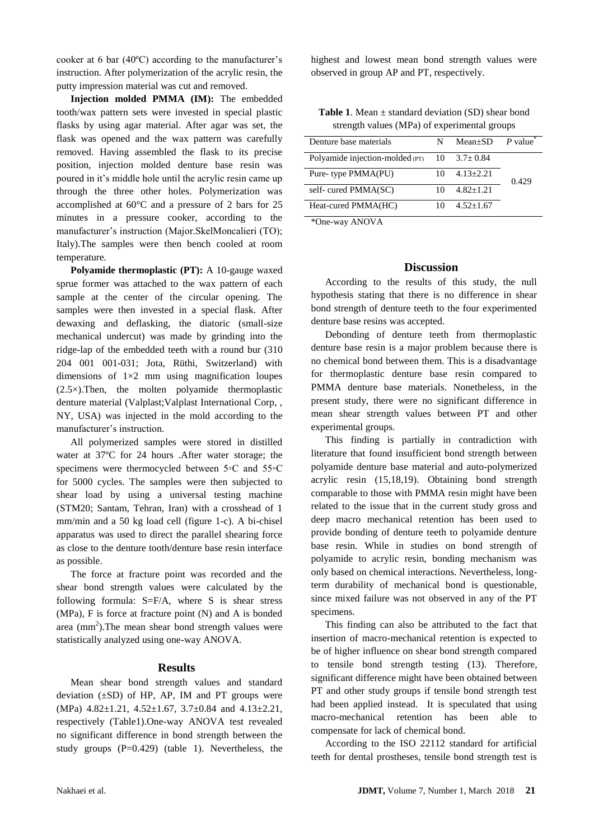cooker at 6 bar (40ºC) according to the manufacturer's instruction. After polymerization of the acrylic resin, the putty impression material was cut and removed.

**Injection molded PMMA (IM):** The embedded tooth/wax pattern sets were invested in special plastic flasks by using agar material. After agar was set, the flask was opened and the wax pattern was carefully removed. Having assembled the flask to its precise position, injection molded denture base resin was poured in it's middle hole until the acrylic resin came up through the three other holes. Polymerization was accomplished at 60°C and a pressure of 2 bars for 25 minutes in a pressure cooker, according to the manufacturer's instruction (Major.SkelMoncalieri (TO); Italy).The samples were then bench cooled at room temperature.

**Polyamide thermoplastic (PT):** A 10-gauge waxed sprue former was attached to the wax pattern of each sample at the center of the circular opening. The samples were then invested in a special flask. After dewaxing and deflasking, the diatoric (small-size mechanical undercut) was made by grinding into the ridge-lap of the embedded teeth with a round bur (310 204 001 001-031; Jota, Rüthi, Switzerland) with dimensions of  $1\times2$  mm using magnification loupes  $(2.5\times)$ . Then, the molten polyamide thermoplastic denture material (Valplast;Valplast International Corp, , NY, USA) was injected in the mold according to the manufacturer's instruction.

All polymerized samples were stored in distilled water at 37ºC for 24 hours .After water storage; the specimens were thermocycled between 5◦C and 55◦C for 5000 cycles. The samples were then subjected to shear load by using a universal testing machine (STM20; Santam, Tehran, Iran) with a crosshead of 1 mm/min and a 50 kg load cell (figure 1-c). A bi-chisel apparatus was used to direct the parallel shearing force as close to the denture tooth/denture base resin interface as possible.

The force at fracture point was recorded and the shear bond strength values were calculated by the following formula: S=F/A, where S is shear stress (MPa), F is force at fracture point (N) and A is bonded area  $(mm<sup>2</sup>)$ . The mean shear bond strength values were statistically analyzed using one-way ANOVA.

#### **Results**

Mean shear bond strength values and standard deviation  $(\pm SD)$  of HP, AP, IM and PT groups were (MPa) 4.82±1.21, 4.52±1.67, 3.7±0.84 and 4.13±2.21, respectively (Table1).One-way ANOVA test revealed no significant difference in bond strength between the study groups  $(P=0.429)$  (table 1). Nevertheless, the highest and lowest mean bond strength values were observed in group AP and PT, respectively.

**Table 1**. Mean  $\pm$  standard deviation (SD) shear bond strength values (MPa) of experimental groups

| Denture base materials                              | N  | $Mean+SD$     | $P$ value |
|-----------------------------------------------------|----|---------------|-----------|
| Polyamide injection-molded (PT) $10$ 3.7 $\pm$ 0.84 |    |               |           |
| Pure-type PMMA(PU)                                  | 10 | $4.13 + 2.21$ | 0.429     |
| self-cured PMMA(SC)                                 | 10 | $4.82 + 1.21$ |           |
| Heat-cured PMMA(HC)                                 | 10 | $4.52+1.67$   |           |
|                                                     |    |               |           |

\*One-way ANOVA

#### **Discussion**

According to the results of this study, the null hypothesis stating that there is no difference in shear bond strength of denture teeth to the four experimented denture base resins was accepted.

Debonding of denture teeth from thermoplastic denture base resin is a major problem because there is no chemical bond between them. This is a disadvantage for thermoplastic denture base resin compared to PMMA denture base materials. Nonetheless, in the present study, there were no significant difference in mean shear strength values between PT and other experimental groups.

This finding is partially in contradiction with literature that found insufficient bond strength between polyamide denture base material and auto-polymerized acrylic resin (15,18,19). Obtaining bond strength comparable to those with PMMA resin might have been related to the issue that in the current study gross and deep macro mechanical retention has been used to provide bonding of denture teeth to polyamide denture base resin. While in studies on bond strength of polyamide to acrylic resin, bonding mechanism was only based on chemical interactions. Nevertheless, longterm durability of mechanical bond is questionable, since mixed failure was not observed in any of the PT specimens.

This finding can also be attributed to the fact that insertion of macro-mechanical retention is expected to be of higher influence on shear bond strength compared to tensile bond strength testing (13). Therefore, significant difference might have been obtained between PT and other study groups if tensile bond strength test had been applied instead. It is speculated that using macro-mechanical retention has been able to compensate for lack of chemical bond.

According to the ISO 22112 standard for artificial teeth for dental prostheses, tensile bond strength test is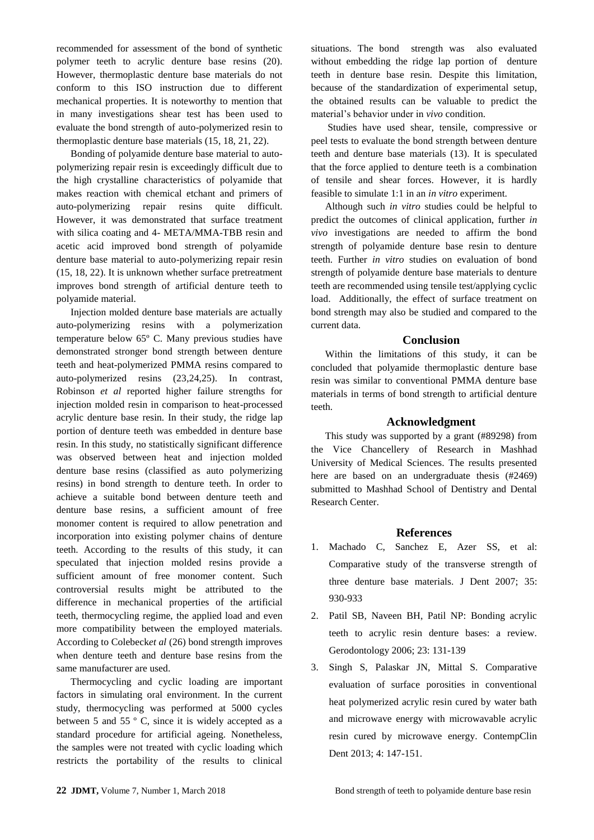recommended for assessment of the bond of synthetic polymer teeth to acrylic denture base resins (20). However, thermoplastic denture base materials do not conform to this ISO instruction due to different mechanical properties. It is noteworthy to mention that in many investigations shear test has been used to evaluate the bond strength of auto-polymerized resin to thermoplastic denture base materials (15, 18, 21, 22).

Bonding of polyamide denture base material to autopolymerizing repair resin is exceedingly difficult due to the high crystalline characteristics of polyamide that makes reaction with chemical etchant and primers of auto-polymerizing repair resins quite difficult. However, it was demonstrated that surface treatment with silica coating and 4- META/MMA-TBB resin and acetic acid improved bond strength of polyamide denture base material to auto-polymerizing repair resin (15, 18, 22). It is unknown whether surface pretreatment improves bond strength of artificial denture teeth to polyamide material.

Injection molded denture base materials are actually auto-polymerizing resins with a polymerization temperature below 65º C. Many previous studies have demonstrated stronger bond strength between denture teeth and heat-polymerized PMMA resins compared to auto-polymerized resins (23,24,25). In contrast, Robinson *et al* reported higher failure strengths for injection molded resin in comparison to heat-processed acrylic denture base resin. In their study, the ridge lap portion of denture teeth was embedded in denture base resin. In this study, no statistically significant difference was observed between heat and injection molded denture base resins (classified as auto polymerizing resins) in bond strength to denture teeth. In order to achieve a suitable bond between denture teeth and denture base resins, a sufficient amount of free monomer content is required to allow penetration and incorporation into existing polymer chains of denture teeth. According to the results of this study, it can speculated that injection molded resins provide a sufficient amount of free monomer content. Such controversial results might be attributed to the difference in mechanical properties of the artificial teeth, thermocycling regime, the applied load and even more compatibility between the employed materials. According to Colebeck*et al* (26) bond strength improves when denture teeth and denture base resins from the same manufacturer are used.

Thermocycling and cyclic loading are important factors in simulating oral environment. In the current study, thermocycling was performed at 5000 cycles between 5 and 55 º C, since it is widely accepted as a standard procedure for artificial ageing. Nonetheless, the samples were not treated with cyclic loading which restricts the portability of the results to clinical

situations. The bond strength was also evaluated without embedding the ridge lap portion of denture teeth in denture base resin. Despite this limitation, because of the standardization of experimental setup, the obtained results can be valuable to predict the material's behavior under in *vivo* condition.

Studies have used shear, tensile, compressive or peel tests to evaluate the bond strength between denture teeth and denture base materials (13). It is speculated that the force applied to denture teeth is a combination of tensile and shear forces. However, it is hardly feasible to simulate 1:1 in an *in vitro* experiment.

Although such *in vitro* studies could be helpful to predict the outcomes of clinical application, further *in vivo* investigations are needed to affirm the bond strength of polyamide denture base resin to denture teeth. Further *in vitro* studies on evaluation of bond strength of polyamide denture base materials to denture teeth are recommended using tensile test/applying cyclic load. Additionally, the effect of surface treatment on bond strength may also be studied and compared to the current data.

## **Conclusion**

Within the limitations of this study, it can be concluded that polyamide thermoplastic denture base resin was similar to conventional PMMA denture base materials in terms of bond strength to artificial denture teeth.

## **Acknowledgment**

This study was supported by a grant (#89298) from the Vice Chancellery of Research in Mashhad University of Medical Sciences. The results presented here are based on an undergraduate thesis (#2469) submitted to Mashhad School of Dentistry and Dental Research Center.

## **References**

- 1. Machado C, Sanchez E, Azer SS, et al: Comparative study of the transverse strength of three denture base materials. J Dent 2007; 35: 930-933
- 2. Patil SB, Naveen BH, Patil NP: Bonding acrylic teeth to acrylic resin denture bases: a review. Gerodontology 2006; 23: 131-139
- 3. Singh S, Palaskar JN, Mittal S. Comparative evaluation of surface porosities in conventional heat polymerized acrylic resin cured by water bath and microwave energy with microwavable acrylic resin cured by microwave energy. ContempClin Dent 2013; 4: 147-151.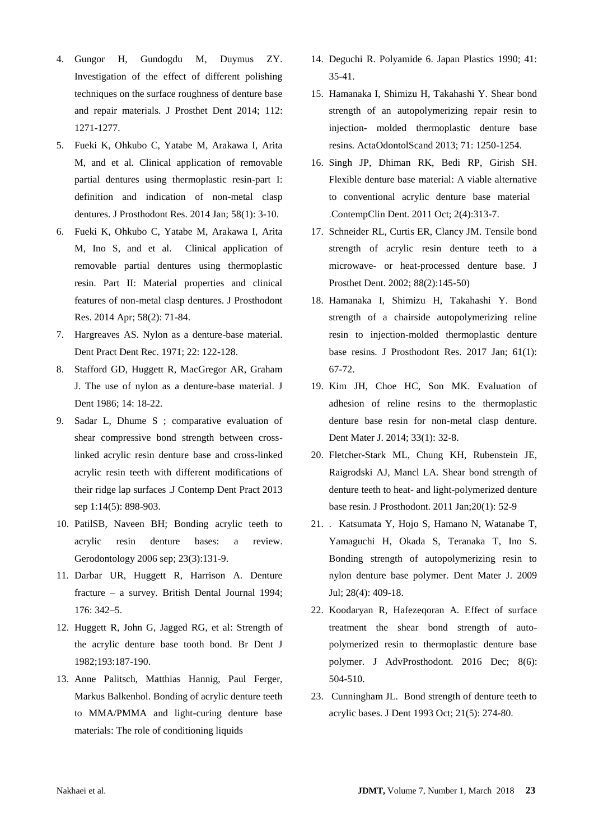- 4. Gungor H, Gundogdu M, Duymus ZY. Investigation of the effect of different polishing techniques on the surface roughness of denture base and repair materials. J Prosthet Dent 2014; 112: 1271-1277.
- 5. Fueki K, Ohkubo C, Yatabe M, Arakawa I, Arita M, and et al. Clinical application of removable partial dentures using thermoplastic resin-part I: definition and indication of non-metal clasp dentures. J Prosthodont Res. 2014 Jan; 58(1): 3-10.
- 6. Fueki K, Ohkubo C, Yatabe M, Arakawa I, Arita M, Ino S, and et al. Clinical application of removable partial dentures using thermoplastic resin. Part II: Material properties and clinical features of non-metal clasp dentures. J Prosthodont Res. 2014 Apr; 58(2): 71-84.
- 7. Hargreaves AS. Nylon as a denture-base material. Dent Pract Dent Rec. 1971; 22: 122-128.
- 8. Stafford GD, Huggett R, MacGregor AR, Graham J. The use of nylon as a denture-base material. J Dent 1986; 14: 18-22.
- 9. Sadar L, Dhume S ; comparative evaluation of shear compressive bond strength between crosslinked acrylic resin denture base and cross-linked acrylic resin teeth with different modifications of their ridge lap surfaces .J Contemp Dent Pract 2013 sep 1:14(5): 898-903.
- 10. PatilSB, Naveen BH; Bonding acrylic teeth to acrylic resin denture bases: a review. Gerodontology 2006 sep; 23(3):131-9.
- 11. Darbar UR, Huggett R, Harrison A. Denture fracture – a survey. British Dental Journal 1994; 176: 342–5.
- 12. Huggett R, John G, Jagged RG, et al: Strength of the acrylic denture base tooth bond. Br Dent J 1982;193:187-190.
- 13. Anne Palitsch, Matthias Hannig, Paul Ferger, Markus Balkenhol. Bonding of acrylic denture teeth to MMA/PMMA and light-curing denture base materials: The role of conditioning liquids
- 14. Deguchi R. Polyamide 6. Japan Plastics 1990; 41: 35-41.
- 15. Hamanaka I, Shimizu H, Takahashi Y. Shear bond strength of an autopolymerizing repair resin to injection- molded thermoplastic denture base resins. ActaOdontolScand 2013; 71: 1250-1254.
- 16. Singh JP, Dhiman RK, Bedi RP, Girish SH. Flexible denture base material: A viable alternative to conventional acrylic denture base material .ContempClin Dent. 2011 Oct; 2(4):313-7.
- 17. Schneider RL, Curtis ER, Clancy JM. Tensile bond strength of acrylic resin denture teeth to a microwave- or heat-processed denture base. J Prosthet Dent. 2002; 88(2):145-50)
- 18. Hamanaka I, Shimizu H, Takahashi Y. Bond strength of a chairside autopolymerizing reline resin to injection-molded thermoplastic denture base resins. J Prosthodont Res. 2017 Jan; 61(1): 67-72.
- 19. Kim JH, Choe HC, Son MK. Evaluation of adhesion of reline resins to the thermoplastic denture base resin for non-metal clasp denture. Dent Mater J. 2014; 33(1): 32-8.
- 20. Fletcher-Stark ML, Chung KH, Rubenstein JE, Raigrodski AJ, Mancl LA. Shear bond strength of denture teeth to heat- and light-polymerized denture base resin. J Prosthodont. 2011 Jan;20(1): 52-9
- 21. . Katsumata Y, Hojo S, Hamano N, Watanabe T, Yamaguchi H, Okada S, Teranaka T, Ino S. Bonding strength of autopolymerizing resin to nylon denture base polymer. Dent Mater J. 2009 Jul; 28(4): 409-18.
- 22. Koodaryan R, Hafezeqoran A. Effect of surface treatment the shear bond strength of autopolymerized resin to thermoplastic denture base polymer. J AdvProsthodont. 2016 Dec; 8(6): 504-510.
- 23. Cunningham JL. Bond strength of denture teeth to acrylic bases. J Dent 1993 Oct; 21(5): 274-80.